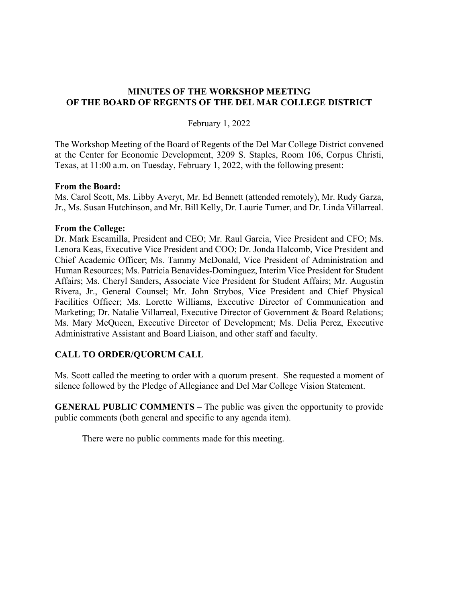## **MINUTES OF THE WORKSHOP MEETING OF THE BOARD OF REGENTS OF THE DEL MAR COLLEGE DISTRICT**

February 1, 2022

The Workshop Meeting of the Board of Regents of the Del Mar College District convened at the Center for Economic Development, 3209 S. Staples, Room 106, Corpus Christi, Texas, at 11:00 a.m. on Tuesday, February 1, 2022, with the following present:

## **From the Board:**

Ms. Carol Scott, Ms. Libby Averyt, Mr. Ed Bennett (attended remotely), Mr. Rudy Garza, Jr., Ms. Susan Hutchinson, and Mr. Bill Kelly, Dr. Laurie Turner, and Dr. Linda Villarreal.

#### **From the College:**

Dr. Mark Escamilla, President and CEO; Mr. Raul Garcia, Vice President and CFO; Ms. Lenora Keas, Executive Vice President and COO; Dr. Jonda Halcomb, Vice President and Chief Academic Officer; Ms. Tammy McDonald, Vice President of Administration and Human Resources; Ms. Patricia Benavides-Dominguez, Interim Vice President for Student Affairs; Ms. Cheryl Sanders, Associate Vice President for Student Affairs; Mr. Augustin Rivera, Jr., General Counsel; Mr. John Strybos, Vice President and Chief Physical Facilities Officer; Ms. Lorette Williams, Executive Director of Communication and Marketing; Dr. Natalie Villarreal, Executive Director of Government & Board Relations; Ms. Mary McQueen, Executive Director of Development; Ms. Delia Perez, Executive Administrative Assistant and Board Liaison, and other staff and faculty.

## **CALL TO ORDER/QUORUM CALL**

Ms. Scott called the meeting to order with a quorum present. She requested a moment of silence followed by the Pledge of Allegiance and Del Mar College Vision Statement.

**GENERAL PUBLIC COMMENTS** – The public was given the opportunity to provide public comments (both general and specific to any agenda item).

There were no public comments made for this meeting.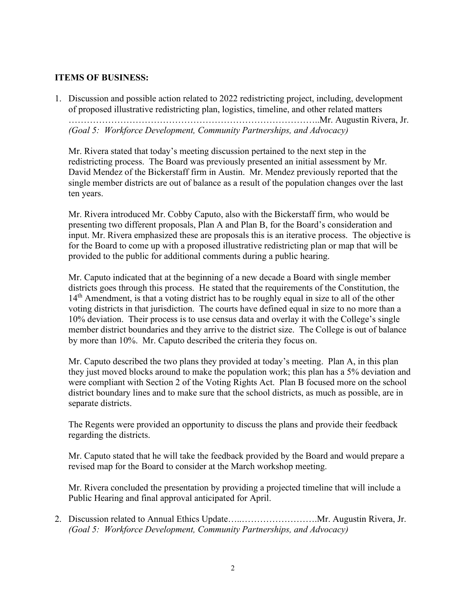# **ITEMS OF BUSINESS:**

1. Discussion and possible action related to 2022 redistricting project, including, development of proposed illustrative redistricting plan, logistics, timeline, and other related matters ………………………………………………………………………..Mr. Augustin Rivera, Jr. *(Goal 5: Workforce Development, Community Partnerships, and Advocacy)*

Mr. Rivera stated that today's meeting discussion pertained to the next step in the redistricting process. The Board was previously presented an initial assessment by Mr. David Mendez of the Bickerstaff firm in Austin. Mr. Mendez previously reported that the single member districts are out of balance as a result of the population changes over the last ten years.

Mr. Rivera introduced Mr. Cobby Caputo, also with the Bickerstaff firm, who would be presenting two different proposals, Plan A and Plan B, for the Board's consideration and input. Mr. Rivera emphasized these are proposals this is an iterative process. The objective is for the Board to come up with a proposed illustrative redistricting plan or map that will be provided to the public for additional comments during a public hearing.

Mr. Caputo indicated that at the beginning of a new decade a Board with single member districts goes through this process. He stated that the requirements of the Constitution, the 14<sup>th</sup> Amendment, is that a voting district has to be roughly equal in size to all of the other voting districts in that jurisdiction. The courts have defined equal in size to no more than a 10% deviation. Their process is to use census data and overlay it with the College's single member district boundaries and they arrive to the district size. The College is out of balance by more than 10%. Mr. Caputo described the criteria they focus on.

Mr. Caputo described the two plans they provided at today's meeting. Plan A, in this plan they just moved blocks around to make the population work; this plan has a 5% deviation and were compliant with Section 2 of the Voting Rights Act. Plan B focused more on the school district boundary lines and to make sure that the school districts, as much as possible, are in separate districts.

The Regents were provided an opportunity to discuss the plans and provide their feedback regarding the districts.

Mr. Caputo stated that he will take the feedback provided by the Board and would prepare a revised map for the Board to consider at the March workshop meeting.

Mr. Rivera concluded the presentation by providing a projected timeline that will include a Public Hearing and final approval anticipated for April.

2. Discussion related to Annual Ethics Update…..…………………….Mr. Augustin Rivera, Jr. *(Goal 5: Workforce Development, Community Partnerships, and Advocacy)*